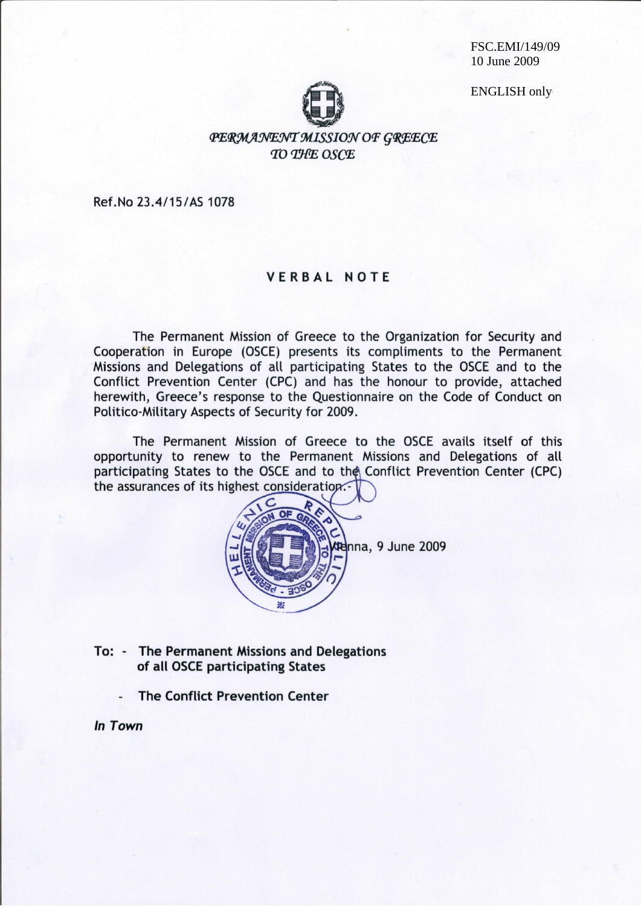FSC.EMI/149/09 10 June 2009

**ENGLISH only** 



**PERMANENT MISSION OF GREECE** TO THE OSCE

Ref.No 23.4/15/AS 1078

### **VERBAL NOTE**

The Permanent Mission of Greece to the Organization for Security and Cooperation in Europe (OSCE) presents its compliments to the Permanent Missions and Delegations of all participating States to the OSCE and to the Conflict Prevention Center (CPC) and has the honour to provide, attached herewith, Greece's response to the Questionnaire on the Code of Conduct on Politico-Military Aspects of Security for 2009.

The Permanent Mission of Greece to the OSCE avails itself of this opportunity to renew to the Permanent Missions and Delegations of all participating States to the OSCE and to the Conflict Prevention Center (CPC) the assurances of its highest consideration.



- To: The Permanent Missions and Delegations of all OSCE participating States
	- **The Conflict Prevention Center**

### In Town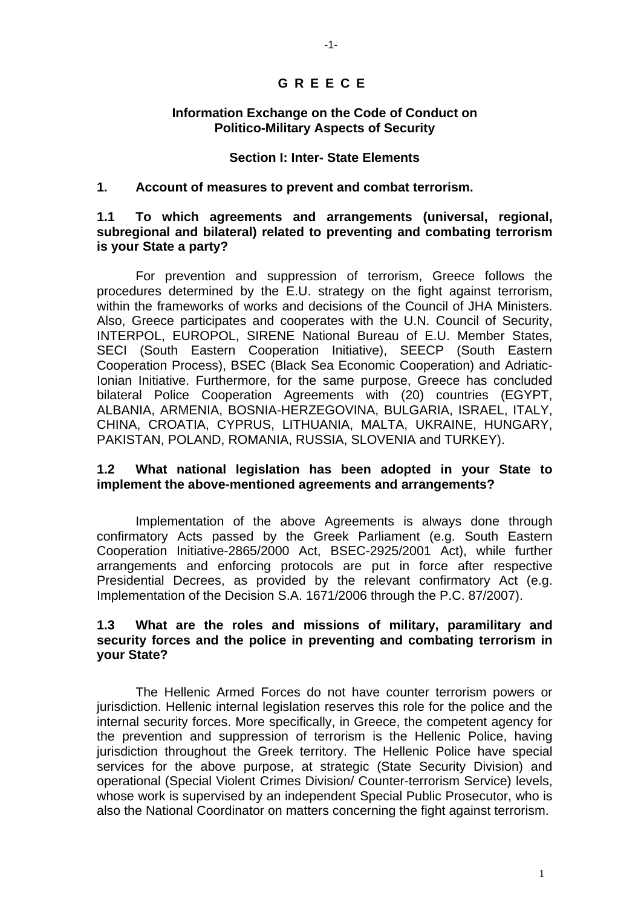# **GREECE**

#### **Information Exchange on the Code of Conduct on Politico-Military Aspects of Security**

#### **Section I: Inter- State Elements**

#### **1. Account of measures to prevent and combat terrorism.**

### **1.1 To which agreements and arrangements (universal, regional, subregional and bilateral) related to preventing and combating terrorism is your State a party?**

 For prevention and suppression of terrorism, Greece follows the procedures determined by the E.U. strategy on the fight against terrorism, within the frameworks of works and decisions of the Council of JHA Ministers. Also, Greece participates and cooperates with the U.N. Council of Security, INTERPOL, EUROPOL, SIRENE National Bureau of E.U. Member States, SECI (South Eastern Cooperation Initiative), SEECP (South Eastern Cooperation Process), BSEC (Black Sea Economic Cooperation) and Adriatic-Ionian Initiative. Furthermore, for the same purpose, Greece has concluded bilateral Police Cooperation Agreements with (20) countries (EGYPT, ALBANIA, ARMENIA, BOSNIA-HERZEGOVINA, BULGARIA, ISRAEL, ITALY, CHINA, CROATIA, CYPRUS, LITHUANIA, MALTA, UKRAINE, HUNGARY, PAKISTAN, POLAND, ROMANIA, RUSSIA, SLOVENIA and TURKEY).

## **1.2 What national legislation has been adopted in your State to implement the above-mentioned agreements and arrangements?**

Implementation of the above Agreements is always done through confirmatory Acts passed by the Greek Parliament (e.g. South Eastern Cooperation Initiative-2865/2000 Act, BSEC-2925/2001 Act), while further arrangements and enforcing protocols are put in force after respective Presidential Decrees, as provided by the relevant confirmatory Act (e.g. Implementation of the Decision S.A. 1671/2006 through the P.C. 87/2007).

## **1.3 What are the roles and missions of military, paramilitary and security forces and the police in preventing and combating terrorism in your State?**

The Hellenic Armed Forces do not have counter terrorism powers or jurisdiction. Hellenic internal legislation reserves this role for the police and the internal security forces. More specifically, in Greece, the competent agency for the prevention and suppression of terrorism is the Hellenic Police, having jurisdiction throughout the Greek territory. The Hellenic Police have special services for the above purpose, at strategic (State Security Division) and operational (Special Violent Crimes Division/ Counter-terrorism Service) levels, whose work is supervised by an independent Special Public Prosecutor, who is also the National Coordinator on matters concerning the fight against terrorism.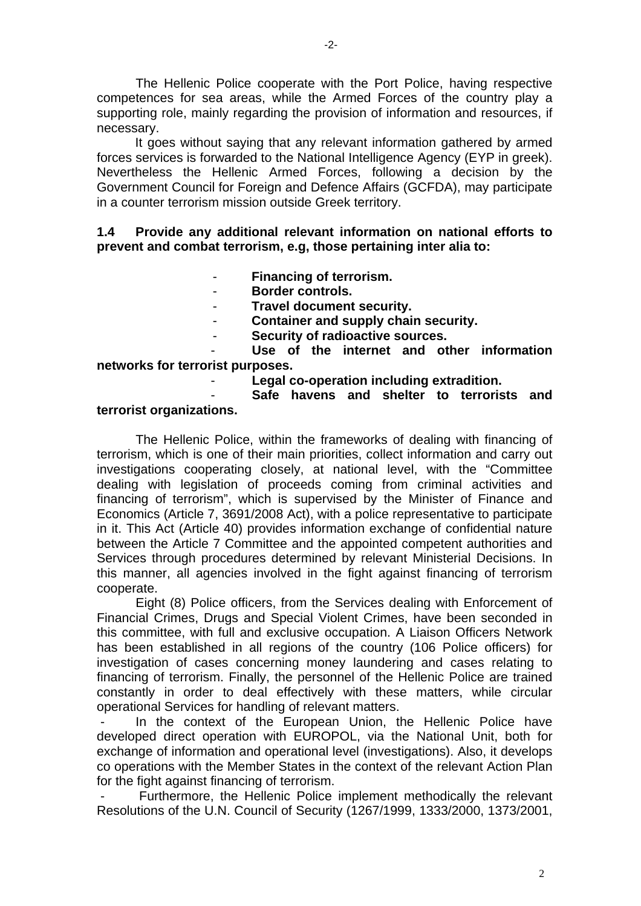The Hellenic Police cooperate with the Port Police, having respective competences for sea areas, while the Armed Forces of the country play a supporting role, mainly regarding the provision of information and resources, if necessary.

 It goes without saying that any relevant information gathered by armed forces services is forwarded to the National Intelligence Agency (EYP in greek). Nevertheless the Hellenic Armed Forces, following a decision by the Government Council for Foreign and Defence Affairs (GCFDA), may participate in a counter terrorism mission outside Greek territory.

## **1.4 Provide any additional relevant information on national efforts to prevent and combat terrorism, e.g, those pertaining inter alia to:**

- **Financing of terrorism.**
- **Border controls.**
- **Travel document security.**
- **Container and supply chain security.**
- **Security of radioactive sources.**

Use of the internet and other information **networks for terrorist purposes.** 

- **Legal co-operation including extradition.** 

- **Safe havens and shelter to terrorists and** 

#### **terrorist organizations.**

The Hellenic Police, within the frameworks of dealing with financing of terrorism, which is one of their main priorities, collect information and carry out investigations cooperating closely, at national level, with the "Committee dealing with legislation of proceeds coming from criminal activities and financing of terrorism", which is supervised by the Minister of Finance and Economics (Article 7, 3691/2008 Act), with a police representative to participate in it. This Act (Article 40) provides information exchange of confidential nature between the Article 7 Committee and the appointed competent authorities and Services through procedures determined by relevant Ministerial Decisions. In this manner, all agencies involved in the fight against financing of terrorism cooperate.

Eight (8) Police officers, from the Services dealing with Enforcement of Financial Crimes, Drugs and Special Violent Crimes, have been seconded in this committee, with full and exclusive occupation. A Liaison Officers Network has been established in all regions of the country (106 Police officers) for investigation of cases concerning money laundering and cases relating to financing of terrorism. Finally, the personnel of the Hellenic Police are trained constantly in order to deal effectively with these matters, while circular operational Services for handling of relevant matters.

In the context of the European Union, the Hellenic Police have developed direct operation with EUROPOL, via the National Unit, both for exchange of information and operational level (investigations). Also, it develops co operations with the Member States in the context of the relevant Action Plan for the fight against financing of terrorism.

Furthermore, the Hellenic Police implement methodically the relevant Resolutions of the U.N. Council of Security (1267/1999, 1333/2000, 1373/2001,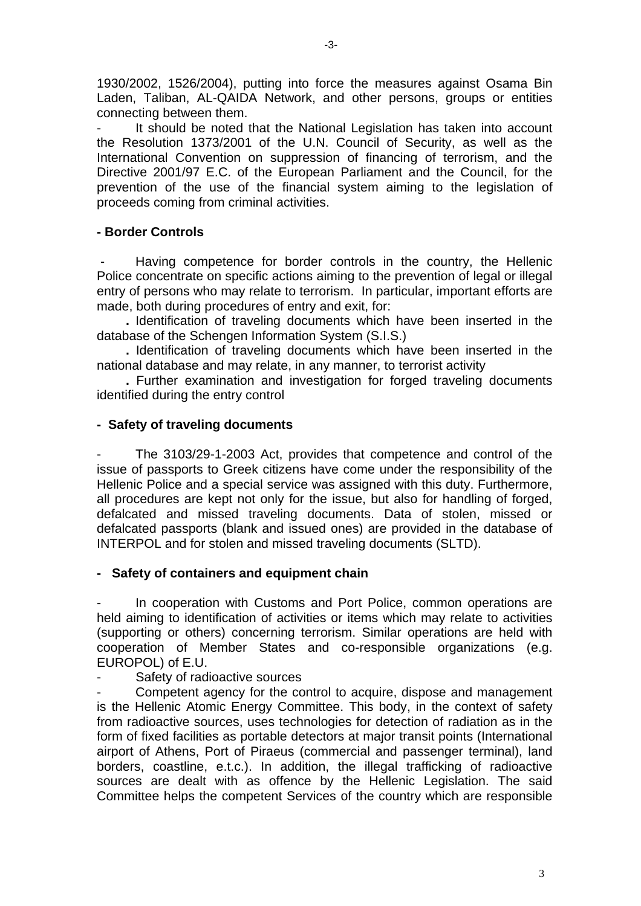1930/2002, 1526/2004), putting into force the measures against Osama Bin

Laden, Taliban, AL-QAIDA Network, and other persons, groups or entities connecting between them.

It should be noted that the National Legislation has taken into account the Resolution 1373/2001 of the U.N. Council of Security, as well as the International Convention on suppression of financing of terrorism, and the Directive 2001/97 E.C. of the European Parliament and the Council, for the prevention of the use of the financial system aiming to the legislation of proceeds coming from criminal activities.

# **- Border Controls**

Having competence for border controls in the country, the Hellenic Police concentrate on specific actions aiming to the prevention of legal or illegal entry of persons who may relate to terrorism. In particular, important efforts are made, both during procedures of entry and exit, for:

**.** Identification of traveling documents which have been inserted in the database of the Schengen Information System (S.I.S.)

**.** Identification of traveling documents which have been inserted in the national database and may relate, in any manner, to terrorist activity

**.** Further examination and investigation for forged traveling documents identified during the entry control

## **- Safety of traveling documents**

The 3103/29-1-2003 Act, provides that competence and control of the issue of passports to Greek citizens have come under the responsibility of the Hellenic Police and a special service was assigned with this duty. Furthermore, all procedures are kept not only for the issue, but also for handling of forged, defalcated and missed traveling documents. Data of stolen, missed or defalcated passports (blank and issued ones) are provided in the database of INTERPOL and for stolen and missed traveling documents (SLTD).

#### **- Safety of containers and equipment chain**

In cooperation with Customs and Port Police, common operations are held aiming to identification of activities or items which may relate to activities (supporting or others) concerning terrorism. Similar operations are held with cooperation of Member States and co-responsible organizations (e.g. EUROPOL) of E.U.

Safety of radioactive sources

Competent agency for the control to acquire, dispose and management is the Hellenic Atomic Energy Committee. This body, in the context of safety from radioactive sources, uses technologies for detection of radiation as in the form of fixed facilities as portable detectors at major transit points (International airport of Athens, Port of Piraeus (commercial and passenger terminal), land borders, coastline, e.t.c.). In addition, the illegal trafficking of radioactive sources are dealt with as offence by the Hellenic Legislation. The said Committee helps the competent Services of the country which are responsible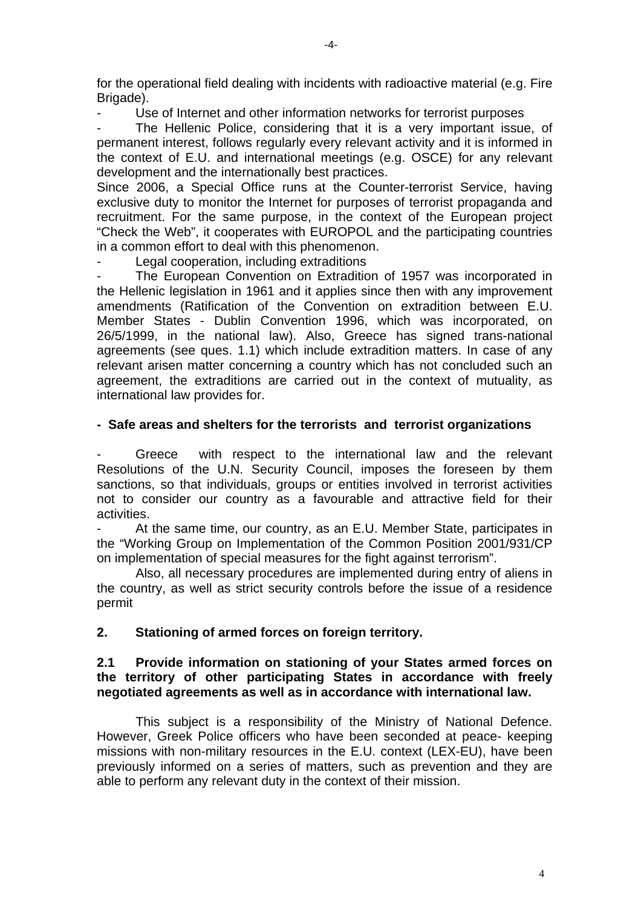for the operational field dealing with incidents with radioactive material (e.g. Fire Brigade).

Use of Internet and other information networks for terrorist purposes

The Hellenic Police, considering that it is a very important issue, of permanent interest, follows regularly every relevant activity and it is informed in the context of E.U. and international meetings (e.g. OSCE) for any relevant development and the internationally best practices.

Since 2006, a Special Office runs at the Counter-terrorist Service, having exclusive duty to monitor the Internet for purposes of terrorist propaganda and recruitment. For the same purpose, in the context of the European project "Check the Web", it cooperates with EUROPOL and the participating countries in a common effort to deal with this phenomenon.

Legal cooperation, including extraditions

The European Convention on Extradition of 1957 was incorporated in the Hellenic legislation in 1961 and it applies since then with any improvement amendments (Ratification of the Convention on extradition between E.U. Member States - Dublin Convention 1996, which was incorporated, on 26/5/1999, in the national law). Also, Greece has signed trans-national agreements (see ques. 1.1) which include extradition matters. In case of any relevant arisen matter concerning a country which has not concluded such an agreement, the extraditions are carried out in the context of mutuality, as international law provides for.

# **- Safe areas and shelters for the terrorists and terrorist organizations**

Greece with respect to the international law and the relevant Resolutions of the U.N. Security Council, imposes the foreseen by them sanctions, so that individuals, groups or entities involved in terrorist activities not to consider our country as a favourable and attractive field for their activities.

At the same time, our country, as an E.U. Member State, participates in the "Working Group on Implementation of the Common Position 2001/931/CP on implementation of special measures for the fight against terrorism".

Also, all necessary procedures are implemented during entry of aliens in the country, as well as strict security controls before the issue of a residence permit

# **2. Stationing of armed forces on foreign territory.**

## **2.1 Provide information on stationing of your States armed forces on the territory of other participating States in accordance with freely negotiated agreements as well as in accordance with international law.**

This subject is a responsibility of the Ministry of National Defence. However, Greek Police officers who have been seconded at peace- keeping missions with non-military resources in the E.U. context (LEX-EU), have been previously informed on a series of matters, such as prevention and they are able to perform any relevant duty in the context of their mission.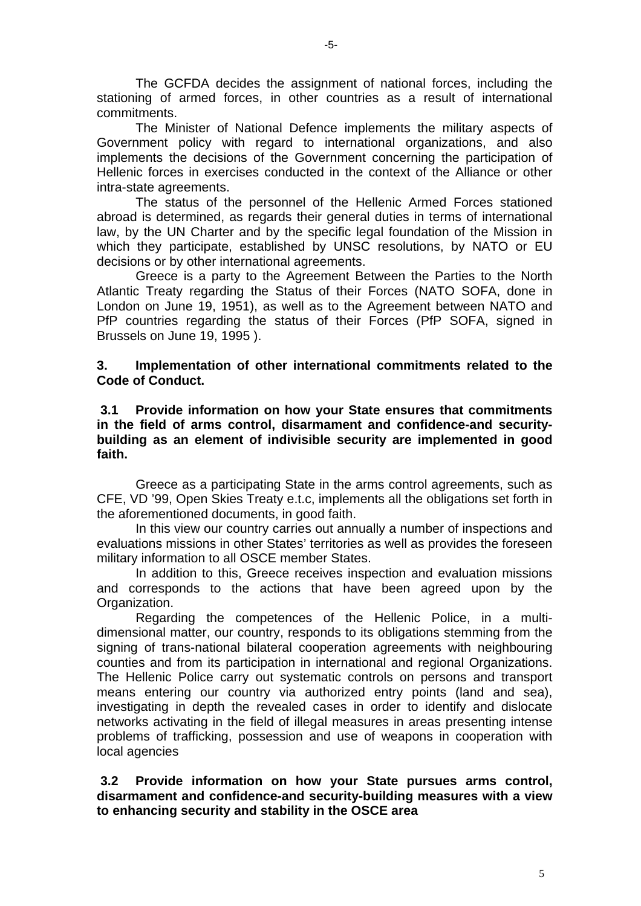The GCFDA decides the assignment of national forces, including the stationing of armed forces, in other countries as a result of international commitments.

The Minister of National Defence implements the military aspects of Government policy with regard to international organizations, and also implements the decisions of the Government concerning the participation of Hellenic forces in exercises conducted in the context of the Alliance or other intra-state agreements.

The status of the personnel of the Hellenic Armed Forces stationed abroad is determined, as regards their general duties in terms of international law, by the UN Charter and by the specific legal foundation of the Mission in which they participate, established by UNSC resolutions, by NATO or EU decisions or by other international agreements.

Greece is a party to the Agreement Between the Parties to the North Atlantic Treaty regarding the Status of their Forces (NATO SOFA, done in London on June 19, 1951), as well as to the Agreement between NATO and PfP countries regarding the status of their Forces (PfP SOFA, signed in Brussels on June 19, 1995 ).

**3. Implementation of other international commitments related to the Code of Conduct.** 

### **3.1 Provide information on how your State ensures that commitments in the field of arms control, disarmament and confidence-and securitybuilding as an element of indivisible security are implemented in good faith.**

Greece as a participating State in the arms control agreements, such as CFE, VD '99, Open Skies Treaty e.t.c, implements all the obligations set forth in the aforementioned documents, in good faith.

 In this view our country carries out annually a number of inspections and evaluations missions in other States' territories as well as provides the foreseen military information to all OSCE member States.

 In addition to this, Greece receives inspection and evaluation missions and corresponds to the actions that have been agreed upon by the Organization.

 Regarding the competences of the Hellenic Police, in a multidimensional matter, our country, responds to its obligations stemming from the signing of trans-national bilateral cooperation agreements with neighbouring counties and from its participation in international and regional Organizations. The Hellenic Police carry out systematic controls on persons and transport means entering our country via authorized entry points (land and sea), investigating in depth the revealed cases in order to identify and dislocate networks activating in the field of illegal measures in areas presenting intense problems of trafficking, possession and use of weapons in cooperation with local agencies

## **3.2 Provide information on how your State pursues arms control, disarmament and confidence-and security-building measures with a view to enhancing security and stability in the OSCE area**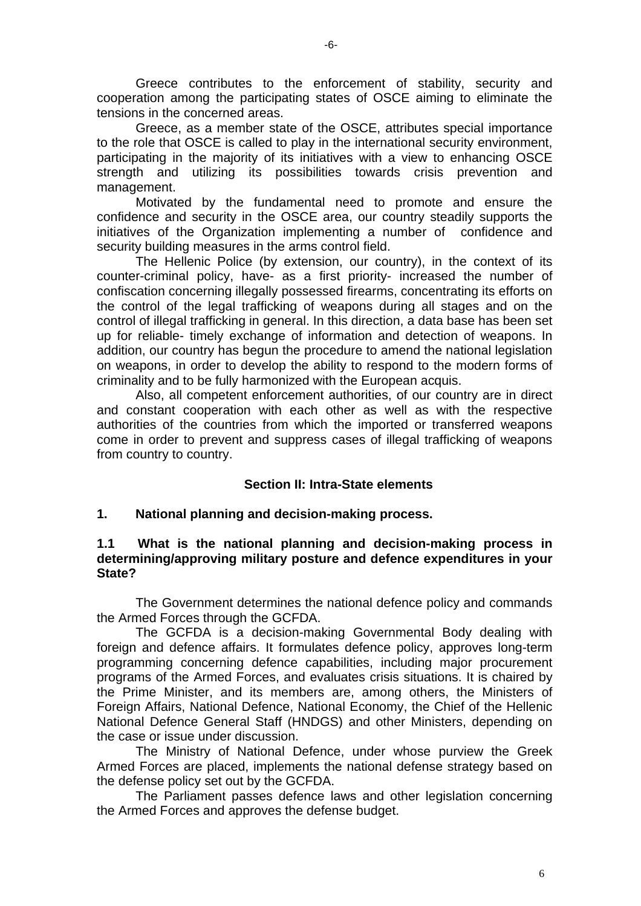Greece contributes to the enforcement of stability, security and cooperation among the participating states of OSCE aiming to eliminate the tensions in the concerned areas.

Greece, as a member state of the OSCE, attributes special importance to the role that OSCE is called to play in the international security environment, participating in the majority of its initiatives with a view to enhancing OSCE strength and utilizing its possibilities towards crisis prevention and management.

 Motivated by the fundamental need to promote and ensure the confidence and security in the OSCE area, our country steadily supports the initiatives of the Organization implementing a number of confidence and security building measures in the arms control field.

The Hellenic Police (by extension, our country), in the context of its counter-criminal policy, have- as a first priority- increased the number of confiscation concerning illegally possessed firearms, concentrating its efforts on the control of the legal trafficking of weapons during all stages and on the control of illegal trafficking in general. In this direction, a data base has been set up for reliable- timely exchange of information and detection of weapons. In addition, our country has begun the procedure to amend the national legislation on weapons, in order to develop the ability to respond to the modern forms of criminality and to be fully harmonized with the European acquis.

Also, all competent enforcement authorities, of our country are in direct and constant cooperation with each other as well as with the respective authorities of the countries from which the imported or transferred weapons come in order to prevent and suppress cases of illegal trafficking of weapons from country to country.

# **Section II: Intra-State elements**

# **1. National planning and decision-making process.**

## **1.1 What is the national planning and decision-making process in determining/approving military posture and defence expenditures in your State?**

The Government determines the national defence policy and commands the Armed Forces through the GCFDA.

 The GCFDA is a decision-making Governmental Body dealing with foreign and defence affairs. It formulates defence policy, approves long-term programming concerning defence capabilities, including major procurement programs of the Armed Forces, and evaluates crisis situations. It is chaired by the Prime Minister, and its members are, among others, the Ministers of Foreign Affairs, National Defence, National Economy, the Chief of the Hellenic National Defence General Staff (HNDGS) and other Ministers, depending on the case or issue under discussion.

 The Ministry of National Defence, under whose purview the Greek Armed Forces are placed, implements the national defense strategy based on the defense policy set out by the GCFDA.

 The Parliament passes defence laws and other legislation concerning the Armed Forces and approves the defense budget.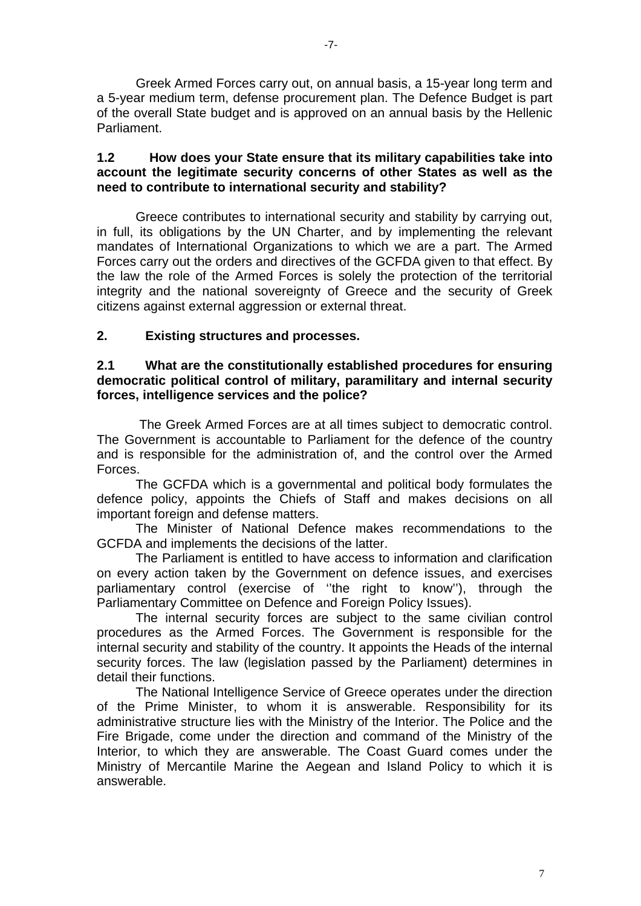Greek Armed Forces carry out, on annual basis, a 15-year long term and a 5-year medium term, defense procurement plan. The Defence Budget is part of the overall State budget and is approved on an annual basis by the Hellenic Parliament.

# **1.2 How does your State ensure that its military capabilities take into account the legitimate security concerns of other States as well as the need to contribute to international security and stability?**

Greece contributes to international security and stability by carrying out, in full, its obligations by the UN Charter, and by implementing the relevant mandates of International Organizations to which we are a part. The Armed Forces carry out the orders and directives of the GCFDA given to that effect. By the law the role of the Armed Forces is solely the protection of the territorial integrity and the national sovereignty of Greece and the security of Greek citizens against external aggression or external threat.

# **2. Existing structures and processes.**

## **2.1 What are the constitutionally established procedures for ensuring democratic political control of military, paramilitary and internal security forces, intelligence services and the police?**

 The Greek Armed Forces are at all times subject to democratic control. The Government is accountable to Parliament for the defence of the country and is responsible for the administration of, and the control over the Armed Forces.

 The GCFDA which is a governmental and political body formulates the defence policy, appoints the Chiefs of Staff and makes decisions on all important foreign and defense matters.

 The Minister of National Defence makes recommendations to the GCFDA and implements the decisions of the latter.

 The Parliament is entitled to have access to information and clarification on every action taken by the Government on defence issues, and exercises parliamentary control (exercise of ''the right to know''), through the Parliamentary Committee on Defence and Foreign Policy Issues).

 The internal security forces are subject to the same civilian control procedures as the Armed Forces. The Government is responsible for the internal security and stability of the country. It appoints the Heads of the internal security forces. The law (legislation passed by the Parliament) determines in detail their functions.

 The National Intelligence Service of Greece operates under the direction of the Prime Minister, to whom it is answerable. Responsibility for its administrative structure lies with the Ministry of the Interior. The Police and the Fire Brigade, come under the direction and command of the Ministry of the Interior, to which they are answerable. The Coast Guard comes under the Ministry of Mercantile Marine the Aegean and Island Policy to which it is answerable.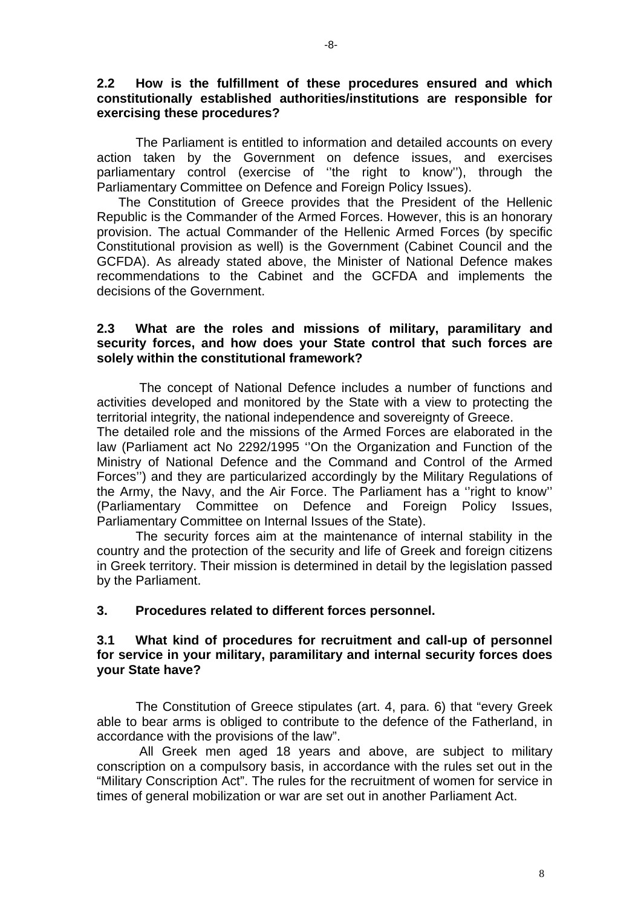## **2.2 How is the fulfillment of these procedures ensured and which constitutionally established authorities/institutions are responsible for exercising these procedures?**

 The Parliament is entitled to information and detailed accounts on every action taken by the Government on defence issues, and exercises parliamentary control (exercise of ''the right to know''), through the Parliamentary Committee on Defence and Foreign Policy Issues).

 The Constitution of Greece provides that the President of the Hellenic Republic is the Commander of the Armed Forces. However, this is an honorary provision. The actual Commander of the Hellenic Armed Forces (by specific Constitutional provision as well) is the Government (Cabinet Council and the GCFDA). As already stated above, the Minister of National Defence makes recommendations to the Cabinet and the GCFDA and implements the decisions of the Government.

## **2.3 What are the roles and missions of military, paramilitary and security forces, and how does your State control that such forces are solely within the constitutional framework?**

 The concept of National Defence includes a number of functions and activities developed and monitored by the State with a view to protecting the territorial integrity, the national independence and sovereignty of Greece.

The detailed role and the missions of the Armed Forces are elaborated in the law (Parliament act No 2292/1995 ''On the Organization and Function of the Ministry of National Defence and the Command and Control of the Armed Forces'') and they are particularized accordingly by the Military Regulations of the Army, the Navy, and the Air Force. The Parliament has a ''right to know'' (Parliamentary Committee on Defence and Foreign Policy Issues, Parliamentary Committee on Internal Issues of the State).

 The security forces aim at the maintenance of internal stability in the country and the protection of the security and life of Greek and foreign citizens in Greek territory. Their mission is determined in detail by the legislation passed by the Parliament.

#### **3. Procedures related to different forces personnel.**

# **3.1 What kind of procedures for recruitment and call-up of personnel for service in your military, paramilitary and internal security forces does your State have?**

 The Constitution of Greece stipulates (art. 4, para. 6) that "every Greek able to bear arms is obliged to contribute to the defence of the Fatherland, in accordance with the provisions of the law".

 All Greek men aged 18 years and above, are subject to military conscription on a compulsory basis, in accordance with the rules set out in the "Military Conscription Act". The rules for the recruitment of women for service in times of general mobilization or war are set out in another Parliament Act.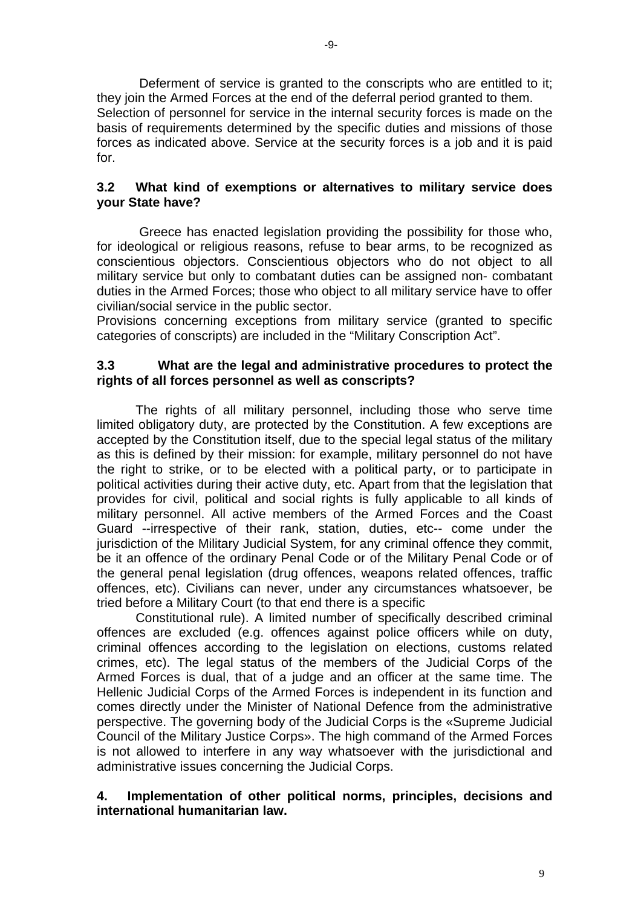Deferment of service is granted to the conscripts who are entitled to it; they join the Armed Forces at the end of the deferral period granted to them. Selection of personnel for service in the internal security forces is made on the basis of requirements determined by the specific duties and missions of those forces as indicated above. Service at the security forces is a job and it is paid for.

# **3.2 What kind of exemptions or alternatives to military service does your State have?**

 Greece has enacted legislation providing the possibility for those who, for ideological or religious reasons, refuse to bear arms, to be recognized as conscientious objectors. Conscientious objectors who do not object to all military service but only to combatant duties can be assigned non- combatant duties in the Armed Forces; those who object to all military service have to offer civilian/social service in the public sector.

Provisions concerning exceptions from military service (granted to specific categories of conscripts) are included in the "Military Conscription Act".

# **3.3 What are the legal and administrative procedures to protect the rights of all forces personnel as well as conscripts?**

 The rights of all military personnel, including those who serve time limited obligatory duty, are protected by the Constitution. A few exceptions are accepted by the Constitution itself, due to the special legal status of the military as this is defined by their mission: for example, military personnel do not have the right to strike, or to be elected with a political party, or to participate in political activities during their active duty, etc. Apart from that the legislation that provides for civil, political and social rights is fully applicable to all kinds of military personnel. All active members of the Armed Forces and the Coast Guard --irrespective of their rank, station, duties, etc-- come under the jurisdiction of the Military Judicial System, for any criminal offence they commit, be it an offence of the ordinary Penal Code or of the Military Penal Code or of the general penal legislation (drug offences, weapons related offences, traffic offences, etc). Civilians can never, under any circumstances whatsoever, be tried before a Military Court (to that end there is a specific

Constitutional rule). A limited number of specifically described criminal offences are excluded (e.g. offences against police officers while on duty, criminal offences according to the legislation on elections, customs related crimes, etc). The legal status of the members of the Judicial Corps of the Armed Forces is dual, that of a judge and an officer at the same time. The Hellenic Judicial Corps of the Armed Forces is independent in its function and comes directly under the Minister of National Defence from the administrative perspective. The governing body of the Judicial Corps is the «Supreme Judicial Council of the Military Justice Corps». The high command of the Armed Forces is not allowed to interfere in any way whatsoever with the jurisdictional and administrative issues concerning the Judicial Corps.

# **4. Implementation of other political norms, principles, decisions and international humanitarian law.**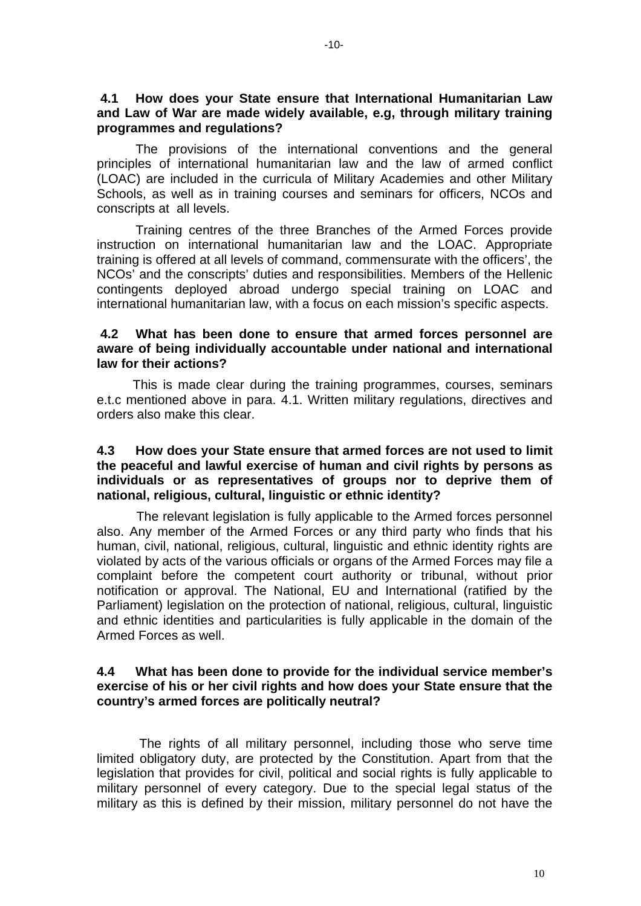#### **4.1 How does your State ensure that International Humanitarian Law and Law of War are made widely available, e.g, through military training programmes and regulations?**

 The provisions of the international conventions and the general principles of international humanitarian law and the law of armed conflict (LOAC) are included in the curricula of Military Academies and other Military Schools, as well as in training courses and seminars for officers, NCOs and conscripts at all levels.

 Training centres of the three Branches of the Armed Forces provide instruction on international humanitarian law and the LOAC. Appropriate training is offered at all levels of command, commensurate with the officers', the NCOs' and the conscripts' duties and responsibilities. Members of the Hellenic contingents deployed abroad undergo special training on LOAC and international humanitarian law, with a focus on each mission's specific aspects.

## **4.2 What has been done to ensure that armed forces personnel are aware of being individually accountable under national and international law for their actions?**

 This is made clear during the training programmes, courses, seminars e.t.c mentioned above in para. 4.1. Written military regulations, directives and orders also make this clear.

## **4.3 How does your State ensure that armed forces are not used to limit the peaceful and lawful exercise of human and civil rights by persons as individuals or as representatives of groups nor to deprive them of national, religious, cultural, linguistic or ethnic identity?**

 The relevant legislation is fully applicable to the Armed forces personnel also. Any member of the Armed Forces or any third party who finds that his human, civil, national, religious, cultural, linguistic and ethnic identity rights are violated by acts of the various officials or organs of the Armed Forces may file a complaint before the competent court authority or tribunal, without prior notification or approval. The National, EU and International (ratified by the Parliament) legislation on the protection of national, religious, cultural, linguistic and ethnic identities and particularities is fully applicable in the domain of the Armed Forces as well.

## **4.4 What has been done to provide for the individual service member's exercise of his or her civil rights and how does your State ensure that the country's armed forces are politically neutral?**

 The rights of all military personnel, including those who serve time limited obligatory duty, are protected by the Constitution. Apart from that the legislation that provides for civil, political and social rights is fully applicable to military personnel of every category. Due to the special legal status of the military as this is defined by their mission, military personnel do not have the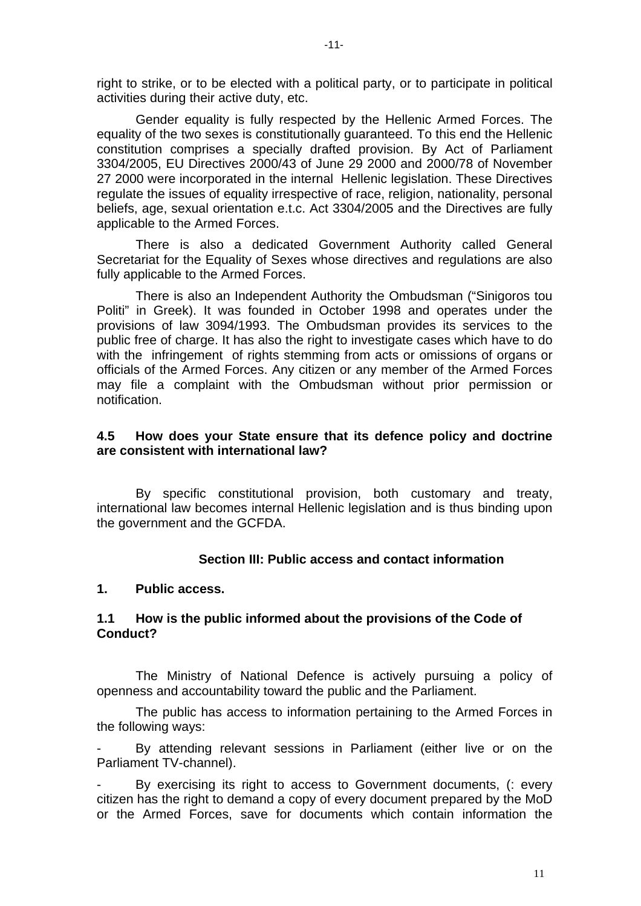right to strike, or to be elected with a political party, or to participate in political activities during their active duty, etc.

 Gender equality is fully respected by the Hellenic Armed Forces. The equality of the two sexes is constitutionally guaranteed. To this end the Hellenic constitution comprises a specially drafted provision. By Act of Parliament 3304/2005, EU Directives 2000/43 of June 29 2000 and 2000/78 of November 27 2000 were incorporated in the internal Hellenic legislation. These Directives regulate the issues of equality irrespective of race, religion, nationality, personal beliefs, age, sexual orientation e.t.c. Act 3304/2005 and the Directives are fully applicable to the Armed Forces.

 There is also a dedicated Government Authority called General Secretariat for the Equality of Sexes whose directives and regulations are also fully applicable to the Armed Forces.

 There is also an Independent Authority the Ombudsman ("Sinigoros tou Politi" in Greek). It was founded in October 1998 and operates under the provisions of law 3094/1993. The Ombudsman provides its services to the public free of charge. It has also the right to investigate cases which have to do with the infringement of rights stemming from acts or omissions of organs or officials of the Armed Forces. Any citizen or any member of the Armed Forces may file a complaint with the Ombudsman without prior permission or notification.

### **4.5 How does your State ensure that its defence policy and doctrine are consistent with international law?**

 By specific constitutional provision, both customary and treaty, international law becomes internal Hellenic legislation and is thus binding upon the government and the GCFDA.

#### **Section III: Public access and contact information**

#### **1. Public access.**

## **1.1 How is the public informed about the provisions of the Code of Conduct?**

The Ministry of National Defence is actively pursuing a policy of openness and accountability toward the public and the Parliament.

 The public has access to information pertaining to the Armed Forces in the following ways:

By attending relevant sessions in Parliament (either live or on the Parliament TV-channel).

By exercising its right to access to Government documents, (: every citizen has the right to demand a copy of every document prepared by the MoD or the Armed Forces, save for documents which contain information the